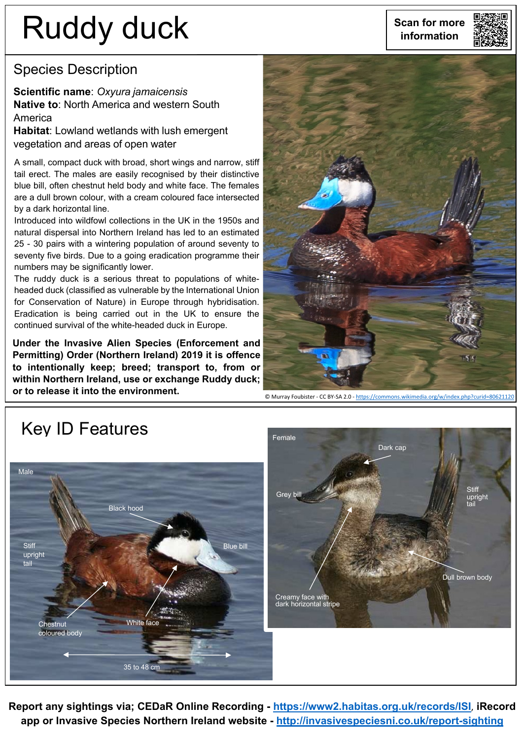# Ruddy duck **information**

#### Species Description

**Scientific name**: *Oxyura jamaicensis* **Native to**: North America and western South America

**Habitat**: Lowland wetlands with lush emergent vegetation and areas of open water

A small, compact duck with broad, short wings and narrow, stiff tail erect. The males are easily recognised by their distinctive blue bill, often chestnut held body and white face. The females are a dull brown colour, with a cream coloured face intersected by a dark horizontal line.

Introduced into wildfowl collections in the UK in the 1950s and natural dispersal into Northern Ireland has led to an estimated 25 - 30 pairs with a wintering population of around seventy to seventy five birds. Due to a going eradication programme their numbers may be significantly lower.

The ruddy duck is a serious threat to populations of whiteheaded duck (classified as vulnerable by the International Union for Conservation of Nature) in Europe through hybridisation. Eradication is being carried out in the UK to ensure the continued survival of the white-headed duck in Europe.

**Under the Invasive Alien Species (Enforcement and Permitting) Order (Northern Ireland) 2019 it is offence to intentionally keep; breed; transport to, from or within Northern Ireland, use or exchange Ruddy duck; or to release it into the environment.**



© Murray Foubister - CC BY-SA 2.0 - <https://commons.wikimedia.org/w/index.php?curid=80621120>

#### Key ID Features





**Report any sightings via; CEDaR Online Recording - <https://www2.habitas.org.uk/records/ISI>**, **iRecord app or Invasive Species Northern Ireland website - <http://invasivespeciesni.co.uk/report-sighting>**